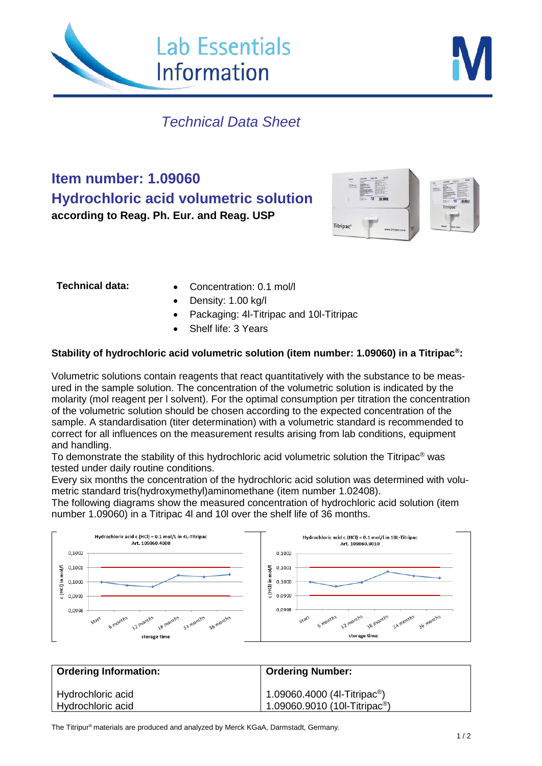



# *Technical Data Sheet*

**Item number: 1.09060 Hydrochloric acid volumetric solution according to Reag. Ph. Eur. and Reag. USP**



- **Technical data:** Concentration: 0.1 mol/l
	- Density: 1.00 kg/l
	- Packaging: 4l-Titripac and 10l-Titripac
	- Shelf life: 3 Years

### **Stability of hydrochloric acid volumetric solution (item number: 1.09060) in a Titripac®:**

Volumetric solutions contain reagents that react quantitatively with the substance to be measured in the sample solution. The concentration of the volumetric solution is indicated by the molarity (mol reagent per l solvent). For the optimal consumption per titration the concentration of the volumetric solution should be chosen according to the expected concentration of the sample. A standardisation (titer determination) with a volumetric standard is recommended to correct for all influences on the measurement results arising from lab conditions, equipment and handling.

To demonstrate the stability of this hydrochloric acid volumetric solution the Titripac® was tested under daily routine conditions.

Every six months the concentration of the hydrochloric acid solution was determined with volumetric standard tris(hydroxymethyl)aminomethane (item number 1.02408).

The following diagrams show the measured concentration of hydrochloric acid solution (item number 1.09060) in a Titripac 4l and 10l over the shelf life of 36 months.



| <b>Ordering Information:</b>           | <b>Ordering Number:</b>                                                                                    |
|----------------------------------------|------------------------------------------------------------------------------------------------------------|
| Hydrochloric acid<br>Hydrochloric acid | $\left  \begin{array}{l} 1.09060.4000 \\ 1.09060.9010 \\ \end{array} \right. (4l$ -Titripac <sup>®</sup> ) |

The Titripur® materials are produced and analyzed by Merck KGaA, Darmstadt, Germany.